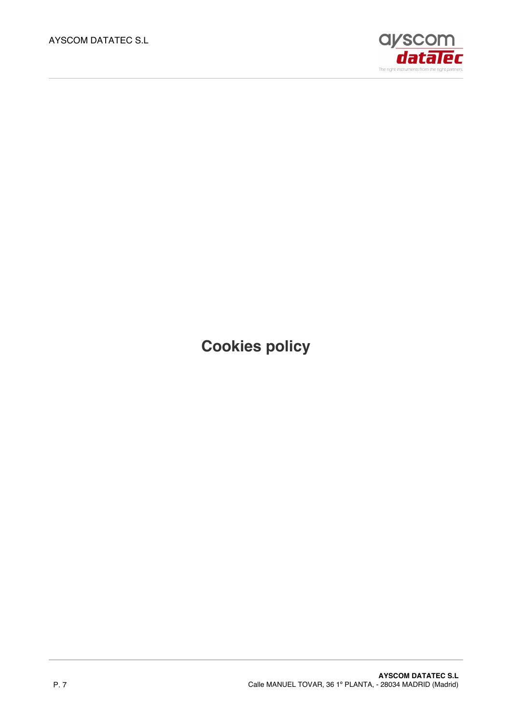

**Cookies policy**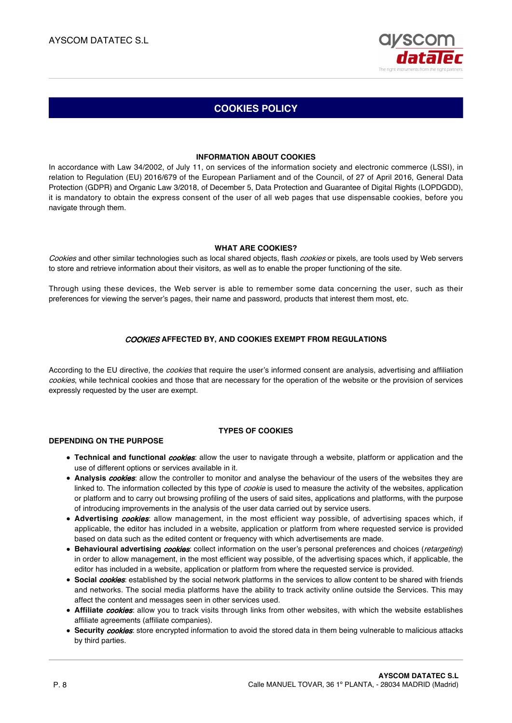

# **COOKIES POLICY**

### **INFORMATION ABOUT COOKIES**

In accordance with Law 34/2002, of July 11, on services of the information society and electronic commerce (LSSI), in relation to Regulation (EU) 2016/679 of the European Parliament and of the Council, of 27 of April 2016, General Data Protection (GDPR) and Organic Law 3/2018, of December 5, Data Protection and Guarantee of Digital Rights (LOPDGDD), it is mandatory to obtain the express consent of the user of all web pages that use dispensable cookies, before you navigate through them.

### **WHAT ARE COOKIES?**

Cookies and other similar technologies such as local shared objects, flash cookies or pixels, are tools used by Web servers to store and retrieve information about their visitors, as well as to enable the proper functioning of the site.

Through using these devices, the Web server is able to remember some data concerning the user, such as their preferences for viewing the server's pages, their name and password, products that interest them most, etc.

## COOKIES **AFFECTED BY, AND COOKIES EXEMPT FROM REGULATIONS**

According to the EU directive, the *cookies* that require the user's informed consent are analysis, advertising and affiliation cookies, while technical cookies and those that are necessary for the operation of the website or the provision of services expressly requested by the user are exempt.

## **TYPES OF COOKIES**

## **DEPENDING ON THE PURPOSE**

- **Technical and functional** *cookies*: allow the user to navigate through a website, platform or application and the use of different options or services available in it.
- **Analysis** cookies: allow the controller to monitor and analyse the behaviour of the users of the websites they are linked to. The information collected by this type of *cookie* is used to measure the activity of the websites, application or platform and to carry out browsing profiling of the users of said sites, applications and platforms, with the purpose of introducing improvements in the analysis of the user data carried out by service users.
- **Advertising cookies:** allow management, in the most efficient way possible, of advertising spaces which, if applicable, the editor has included in a website, application or platform from where requested service is provided based on data such as the edited content or frequency with which advertisements are made.
- **Behavioural advertising cookies**: collect information on the user's personal preferences and choices (retargeting) in order to allow management, in the most efficient way possible, of the advertising spaces which, if applicable, the editor has included in a website, application or platform from where the requested service is provided.
- **Social** *cookies*: established by the social network platforms in the services to allow content to be shared with friends and networks. The social media platforms have the ability to track activity online outside the Services. This may affect the content and messages seen in other services used.
- **Affiliate** *cookies*: allow you to track visits through links from other websites, with which the website establishes affiliate agreements (affiliate companies).
- **Security** cookies: store encrypted information to avoid the stored data in them being vulnerable to malicious attacks by third parties.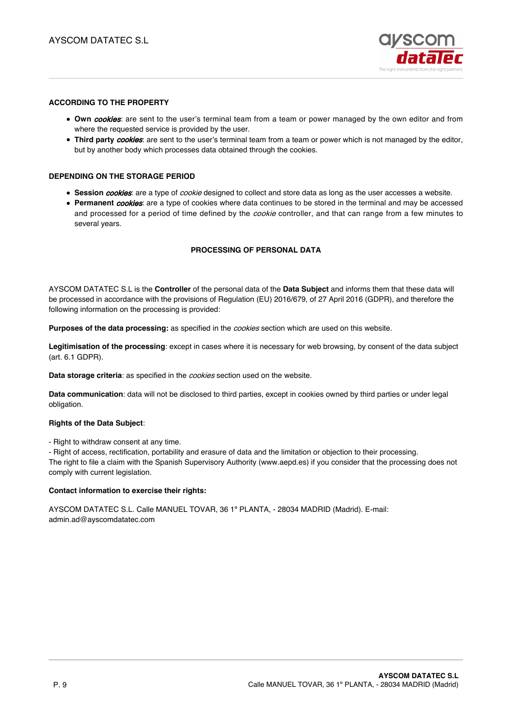

### **ACCORDING TO THE PROPERTY**

- **Own cookies:** are sent to the user's terminal team from a team or power managed by the own editor and from where the requested service is provided by the user.
- **Third party** *cookies*: are sent to the user's terminal team from a team or power which is not managed by the editor, but by another body which processes data obtained through the cookies.

#### **DEPENDING ON THE STORAGE PERIOD**

- **Session cookies**: are a type of cookie designed to collect and store data as long as the user accesses a website.
- **Permanent** *cookies*: are a type of cookies where data continues to be stored in the terminal and may be accessed and processed for a period of time defined by the *cookie* controller, and that can range from a few minutes to several years.

### **PROCESSING OF PERSONAL DATA**

AYSCOM DATATEC S.L is the **Controller** of the personal data of the **Data Subject** and informs them that these data will be processed in accordance with the provisions of Regulation (EU) 2016/679, of 27 April 2016 (GDPR), and therefore the following information on the processing is provided:

**Purposes of the data processing:** as specified in the cookies section which are used on this website.

**Legitimisation of the processing**: except in cases where it is necessary for web browsing, by consent of the data subject (art. 6.1 GDPR).

**Data storage criteria**: as specified in the cookies section used on the website.

**Data communication**: data will not be disclosed to third parties, except in cookies owned by third parties or under legal obligation.

#### **Rights of the Data Subject**:

- Right to withdraw consent at any time.

- Right of access, rectification, portability and erasure of data and the limitation or objection to their processing. The right to file a claim with the Spanish Supervisory Authority (www.aepd.es) if you consider that the processing does not comply with current legislation.

#### **Contact information to exercise their rights:**

AYSCOM DATATEC S.L. Calle MANUEL TOVAR, 36 1º PLANTA, - 28034 MADRID (Madrid). E-mail: admin.ad@ayscomdatatec.com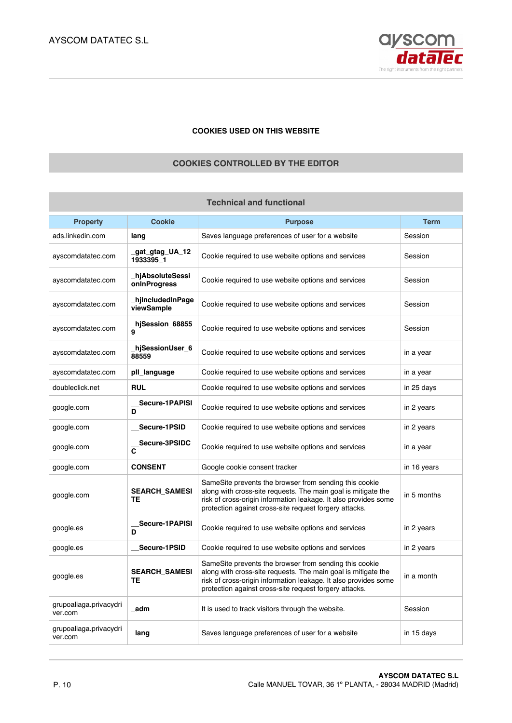

## **COOKIES USED ON THIS WEBSITE**

# **COOKIES CONTROLLED BY THE EDITOR**

| <b>Technical and functional</b>   |                                  |                                                                                                                                                                                                                                                      |             |
|-----------------------------------|----------------------------------|------------------------------------------------------------------------------------------------------------------------------------------------------------------------------------------------------------------------------------------------------|-------------|
| <b>Property</b>                   | <b>Cookie</b>                    | <b>Purpose</b>                                                                                                                                                                                                                                       | <b>Term</b> |
| ads.linkedin.com                  | lang                             | Saves language preferences of user for a website                                                                                                                                                                                                     | Session     |
| ayscomdatatec.com                 | _gat_gtag_UA_12<br>1933395_1     | Cookie required to use website options and services                                                                                                                                                                                                  | Session     |
| ayscomdatatec.com                 | _hjAbsoluteSessi<br>onInProgress | Cookie required to use website options and services                                                                                                                                                                                                  | Session     |
| ayscomdatatec.com                 | hilncludedInPage<br>viewSample   | Cookie required to use website options and services                                                                                                                                                                                                  | Session     |
| ayscomdatatec.com                 | hjSession_68855_<br>9            | Cookie required to use website options and services                                                                                                                                                                                                  | Session     |
| ayscomdatatec.com                 | _hjSessionUser_6<br>88559        | Cookie required to use website options and services                                                                                                                                                                                                  | in a year   |
| ayscomdatatec.com                 | pll_language                     | Cookie required to use website options and services                                                                                                                                                                                                  | in a year   |
| doubleclick.net                   | <b>RUL</b>                       | Cookie required to use website options and services                                                                                                                                                                                                  | in 25 days  |
| google.com                        | Secure-1PAPISI<br>D              | Cookie required to use website options and services                                                                                                                                                                                                  | in 2 years  |
| google.com                        | Secure-1PSID                     | Cookie required to use website options and services                                                                                                                                                                                                  | in 2 years  |
| google.com                        | Secure-3PSIDC<br>C               | Cookie required to use website options and services                                                                                                                                                                                                  | in a year   |
| google.com                        | <b>CONSENT</b>                   | Google cookie consent tracker                                                                                                                                                                                                                        | in 16 years |
| google.com                        | <b>SEARCH_SAMESI</b><br>TЕ       | SameSite prevents the browser from sending this cookie<br>along with cross-site requests. The main goal is mitigate the<br>risk of cross-origin information leakage. It also provides some<br>protection against cross-site request forgery attacks. | in 5 months |
| google.es                         | Secure-1PAPISI<br>D              | Cookie required to use website options and services                                                                                                                                                                                                  | in 2 years  |
| google.es                         | Secure-1PSID                     | Cookie required to use website options and services                                                                                                                                                                                                  | in 2 years  |
| google.es                         | <b>SEARCH_SAMESI</b><br>TE       | SameSite prevents the browser from sending this cookie<br>along with cross-site requests. The main goal is mitigate the<br>risk of cross-origin information leakage. It also provides some<br>protection against cross-site request forgery attacks. | in a month  |
| grupoaliaga.privacydri<br>ver.com | adm                              | It is used to track visitors through the website.                                                                                                                                                                                                    | Session     |
| grupoaliaga.privacydri<br>ver.com | _lang                            | Saves language preferences of user for a website                                                                                                                                                                                                     | in 15 days  |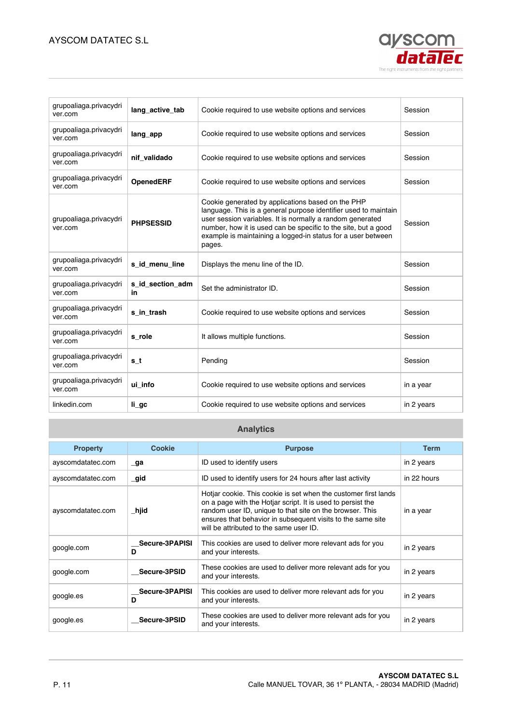# AYSCOM DATATEC S.L



| grupoaliaga.privacydri<br>ver.com | lang active tab        | Cookie required to use website options and services                                                                                                                                                                                                                                                                           | Session    |
|-----------------------------------|------------------------|-------------------------------------------------------------------------------------------------------------------------------------------------------------------------------------------------------------------------------------------------------------------------------------------------------------------------------|------------|
| grupoaliaga.privacydri<br>ver.com | lang_app               | Cookie required to use website options and services                                                                                                                                                                                                                                                                           | Session    |
| grupoaliaga.privacydri<br>ver.com | nif validado           | Cookie required to use website options and services                                                                                                                                                                                                                                                                           | Session    |
| grupoaliaga.privacydri<br>ver.com | <b>OpenedERF</b>       | Cookie required to use website options and services                                                                                                                                                                                                                                                                           | Session    |
| grupoaliaga.privacydri<br>ver.com | <b>PHPSESSID</b>       | Cookie generated by applications based on the PHP<br>language. This is a general purpose identifier used to maintain<br>user session variables. It is normally a random generated<br>number, how it is used can be specific to the site, but a good<br>example is maintaining a logged-in status for a user between<br>pages. | Session    |
| grupoaliaga.privacydri<br>ver.com | s id menu line         | Displays the menu line of the ID.                                                                                                                                                                                                                                                                                             | Session    |
| grupoaliaga.privacydri<br>ver.com | s id section adm<br>in | Set the administrator ID.                                                                                                                                                                                                                                                                                                     | Session    |
| grupoaliaga.privacydri<br>ver.com | s in trash             | Cookie required to use website options and services                                                                                                                                                                                                                                                                           | Session    |
| grupoaliaga.privacydri<br>ver.com | s_role                 | It allows multiple functions.                                                                                                                                                                                                                                                                                                 | Session    |
| grupoaliaga.privacydri<br>ver.com | s_t                    | Pending                                                                                                                                                                                                                                                                                                                       | Session    |
| grupoaliaga.privacydri<br>ver.com | ui info                | Cookie required to use website options and services                                                                                                                                                                                                                                                                           | in a year  |
| linkedin.com                      | li_gc                  | Cookie required to use website options and services                                                                                                                                                                                                                                                                           | in 2 years |

# **Analytics**

| <b>Property</b>   | Cookie                     | <b>Purpose</b>                                                                                                                                                                                                                                                                                       | <b>Term</b> |
|-------------------|----------------------------|------------------------------------------------------------------------------------------------------------------------------------------------------------------------------------------------------------------------------------------------------------------------------------------------------|-------------|
| ayscomdatatec.com | $\Box$ ga                  | ID used to identify users                                                                                                                                                                                                                                                                            | in 2 years  |
| ayscomdatatec.com | $\_gid$                    | ID used to identify users for 24 hours after last activity                                                                                                                                                                                                                                           | in 22 hours |
| ayscomdatatec.com | _hjid                      | Hotjar cookie. This cookie is set when the customer first lands<br>on a page with the Hotjar script. It is used to persist the<br>random user ID, unique to that site on the browser. This<br>ensures that behavior in subsequent visits to the same site<br>will be attributed to the same user ID. | in a year   |
| google.com        | <b>Secure-3PAPISI</b><br>D | This cookies are used to deliver more relevant ads for you<br>and your interests.                                                                                                                                                                                                                    | in 2 years  |
| google.com        | Secure-3PSID               | These cookies are used to deliver more relevant ads for you<br>and your interests.                                                                                                                                                                                                                   | in 2 years  |
| google.es         | Secure-3PAPISI<br>D        | This cookies are used to deliver more relevant ads for you<br>and your interests.                                                                                                                                                                                                                    | in 2 years  |
| google.es         | Secure-3PSID               | These cookies are used to deliver more relevant ads for you<br>and your interests.                                                                                                                                                                                                                   | in 2 years  |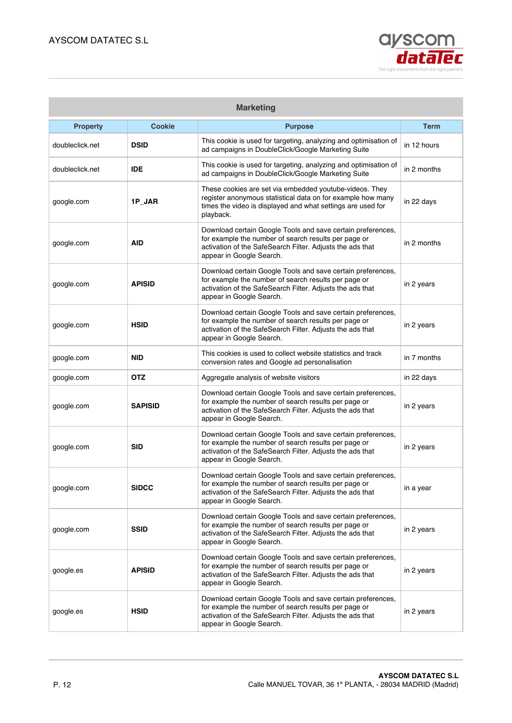

| <b>Marketing</b> |                |                                                                                                                                                                                                              |             |
|------------------|----------------|--------------------------------------------------------------------------------------------------------------------------------------------------------------------------------------------------------------|-------------|
| <b>Property</b>  | <b>Cookie</b>  | <b>Purpose</b>                                                                                                                                                                                               | <b>Term</b> |
| doubleclick.net  | <b>DSID</b>    | This cookie is used for targeting, analyzing and optimisation of<br>ad campaigns in DoubleClick/Google Marketing Suite                                                                                       | in 12 hours |
| doubleclick.net  | <b>IDE</b>     | This cookie is used for targeting, analyzing and optimisation of<br>ad campaigns in DoubleClick/Google Marketing Suite                                                                                       | in 2 months |
| google.com       | 1P_JAR         | These cookies are set via embedded youtube-videos. They<br>register anonymous statistical data on for example how many<br>times the video is displayed and what settings are used for<br>playback.           | in 22 days  |
| google.com       | <b>AID</b>     | Download certain Google Tools and save certain preferences,<br>for example the number of search results per page or<br>activation of the SafeSearch Filter. Adjusts the ads that<br>appear in Google Search. | in 2 months |
| google.com       | <b>APISID</b>  | Download certain Google Tools and save certain preferences,<br>for example the number of search results per page or<br>activation of the SafeSearch Filter. Adjusts the ads that<br>appear in Google Search. | in 2 years  |
| google.com       | <b>HSID</b>    | Download certain Google Tools and save certain preferences,<br>for example the number of search results per page or<br>activation of the SafeSearch Filter. Adjusts the ads that<br>appear in Google Search. | in 2 years  |
| google.com       | <b>NID</b>     | This cookies is used to collect website statistics and track<br>conversion rates and Google ad personalisation                                                                                               | in 7 months |
| google.com       | <b>OTZ</b>     | Aggregate analysis of website visitors                                                                                                                                                                       | in 22 days  |
| google.com       | <b>SAPISID</b> | Download certain Google Tools and save certain preferences,<br>for example the number of search results per page or<br>activation of the SafeSearch Filter. Adjusts the ads that<br>appear in Google Search. | in 2 years  |
| google.com       | <b>SID</b>     | Download certain Google Tools and save certain preferences,<br>for example the number of search results per page or<br>activation of the SafeSearch Filter. Adjusts the ads that<br>appear in Google Search. | in 2 years  |
| google.com       | <b>SIDCC</b>   | Download certain Google Tools and save certain preferences,<br>for example the number of search results per page or<br>activation of the SafeSearch Filter. Adjusts the ads that<br>appear in Google Search. | in a year   |
| google.com       | <b>SSID</b>    | Download certain Google Tools and save certain preferences,<br>for example the number of search results per page or<br>activation of the SafeSearch Filter. Adjusts the ads that<br>appear in Google Search. | in 2 years  |
| google.es        | <b>APISID</b>  | Download certain Google Tools and save certain preferences,<br>for example the number of search results per page or<br>activation of the SafeSearch Filter. Adjusts the ads that<br>appear in Google Search. | in 2 years  |
| google.es        | <b>HSID</b>    | Download certain Google Tools and save certain preferences,<br>for example the number of search results per page or<br>activation of the SafeSearch Filter. Adjusts the ads that<br>appear in Google Search. | in 2 years  |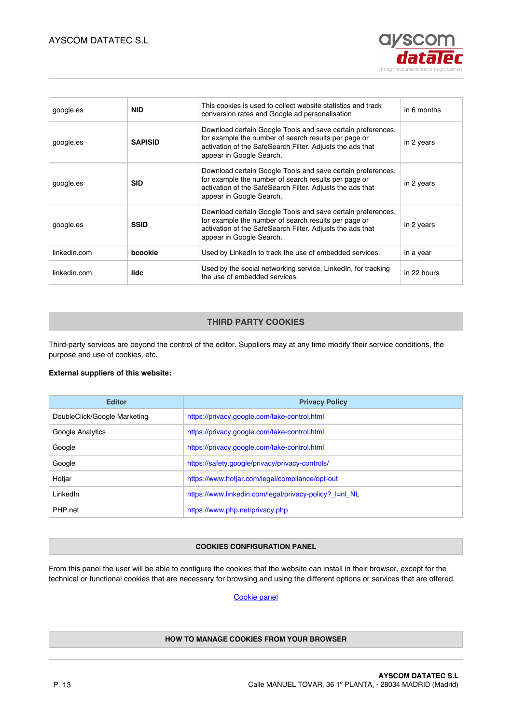

| google.es    | <b>NID</b>     | This cookies is used to collect website statistics and track<br>conversion rates and Google ad personalisation                                                                                               | in 6 months |
|--------------|----------------|--------------------------------------------------------------------------------------------------------------------------------------------------------------------------------------------------------------|-------------|
| google.es    | <b>SAPISID</b> | Download certain Google Tools and save certain preferences,<br>for example the number of search results per page or<br>activation of the SafeSearch Filter. Adjusts the ads that<br>appear in Google Search. | in 2 years  |
| google.es    | <b>SID</b>     | Download certain Google Tools and save certain preferences,<br>for example the number of search results per page or<br>activation of the SafeSearch Filter. Adjusts the ads that<br>appear in Google Search. | in 2 years  |
| google.es    | <b>SSID</b>    | Download certain Google Tools and save certain preferences,<br>for example the number of search results per page or<br>activation of the SafeSearch Filter. Adjusts the ads that<br>appear in Google Search. | in 2 years  |
| linkedin.com | bcookie        | Used by LinkedIn to track the use of embedded services.                                                                                                                                                      | in a year   |
| linkedin.com | lidc           | Used by the social networking service, Linkedln, for tracking<br>the use of embedded services.                                                                                                               | in 22 hours |

# **THIRD PARTY COOKIES**

Third-party services are beyond the control of the editor. Suppliers may at any time modify their service conditions, the purpose and use of cookies, etc.

## **External suppliers of this website:**

| <b>Editor</b>                | <b>Privacy Policy</b>                                  |
|------------------------------|--------------------------------------------------------|
| DoubleClick/Google Marketing | https://privacy.google.com/take-control.html           |
| Google Analytics             | https://privacy.google.com/take-control.html           |
| Google                       | https://privacy.google.com/take-control.html           |
| Google                       | https://safety.google/privacy/privacy-controls/        |
| Hotjar                       | https://www.hotjar.com/legal/compliance/opt-out        |
| LinkedIn                     | https://www.linkedin.com/legal/privacy-policy?_l=nl_NL |
| PHP net                      | https://www.php.net/privacy.php                        |

#### **COOKIES CONFIGURATION PANEL**

From this panel the user will be able to configure the cookies that the website can install in their browser, except for the technical or functional cookies that are necessary for browsing and using the different options or services that are offered.

# Cookie panel

## **HOW TO MANAGE COOKIES FROM YOUR BROWSER**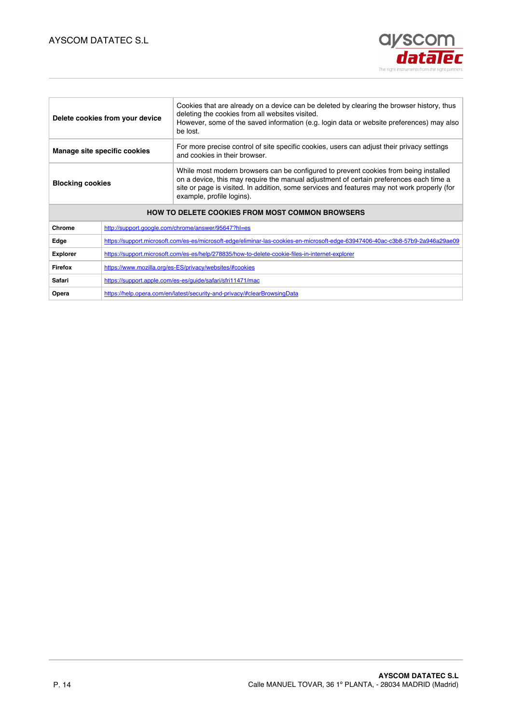# AYSCOM DATATEC S.L



| Delete cookies from your device                        |                                                                                                                                | Cookies that are already on a device can be deleted by clearing the browser history, thus<br>deleting the cookies from all websites visited.<br>However, some of the saved information (e.g. login data or website preferences) may also<br>be lost.                                                       |  |
|--------------------------------------------------------|--------------------------------------------------------------------------------------------------------------------------------|------------------------------------------------------------------------------------------------------------------------------------------------------------------------------------------------------------------------------------------------------------------------------------------------------------|--|
| Manage site specific cookies                           |                                                                                                                                | For more precise control of site specific cookies, users can adjust their privacy settings<br>and cookies in their browser.                                                                                                                                                                                |  |
| <b>Blocking cookies</b>                                |                                                                                                                                | While most modern browsers can be configured to prevent cookies from being installed<br>on a device, this may require the manual adjustment of certain preferences each time a<br>site or page is visited. In addition, some services and features may not work properly (for<br>example, profile logins). |  |
| <b>HOW TO DELETE COOKIES FROM MOST COMMON BROWSERS</b> |                                                                                                                                |                                                                                                                                                                                                                                                                                                            |  |
| Chrome                                                 | http://support.google.com/chrome/answer/95647?hl=es                                                                            |                                                                                                                                                                                                                                                                                                            |  |
| Edge                                                   | https://support.microsoft.com/es-es/microsoft-edge/eliminar-las-cookies-en-microsoft-edge-63947406-40ac-c3b8-57b9-2a946a29ae09 |                                                                                                                                                                                                                                                                                                            |  |
| <b>Explorer</b>                                        | https://support.microsoft.com/es-es/help/278835/how-to-delete-cookie-files-in-internet-explorer                                |                                                                                                                                                                                                                                                                                                            |  |
| Firefox                                                | https://www.mozilla.org/es-ES/privacy/websites/#cookies                                                                        |                                                                                                                                                                                                                                                                                                            |  |
| Safari                                                 | https://support.apple.com/es-es/guide/safari/sfri11471/mac                                                                     |                                                                                                                                                                                                                                                                                                            |  |
| Opera                                                  | https://help.opera.com/en/latest/security-and-privacy/#clearBrowsingData                                                       |                                                                                                                                                                                                                                                                                                            |  |